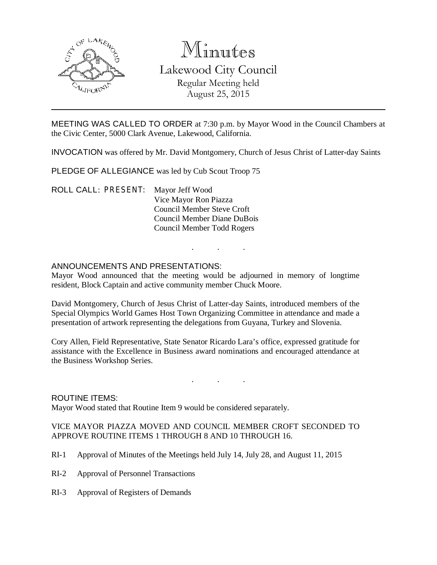

# Minutes

Lakewood City Council Regular Meeting held August 25, 2015

MEETING WAS CALLED TO ORDER at 7:30 p.m. by Mayor Wood in the Council Chambers at the Civic Center, 5000 Clark Avenue, Lakewood, California.

INVOCATION was offered by Mr. David Montgomery, Church of Jesus Christ of Latter-day Saints

PLEDGE OF ALLEGIANCE was led by Cub Scout Troop 75

ROLL CALL: PRESENT: Mayor Jeff Wood Vice Mayor Ron Piazza Council Member Steve Croft Council Member Diane DuBois Council Member Todd Rogers

# ANNOUNCEMENTS AND PRESENTATIONS:

Mayor Wood announced that the meeting would be adjourned in memory of longtime resident, Block Captain and active community member Chuck Moore.

. . .

David Montgomery, Church of Jesus Christ of Latter-day Saints, introduced members of the Special Olympics World Games Host Town Organizing Committee in attendance and made a presentation of artwork representing the delegations from Guyana, Turkey and Slovenia.

Cory Allen, Field Representative, State Senator Ricardo Lara's office, expressed gratitude for assistance with the Excellence in Business award nominations and encouraged attendance at the Business Workshop Series.

. . .

#### ROUTINE ITEMS:

Mayor Wood stated that Routine Item 9 would be considered separately.

VICE MAYOR PIAZZA MOVED AND COUNCIL MEMBER CROFT SECONDED TO APPROVE ROUTINE ITEMS 1 THROUGH 8 AND 10 THROUGH 16.

- RI-1 Approval of Minutes of the Meetings held July 14, July 28, and August 11, 2015
- RI-2 Approval of Personnel Transactions
- RI-3 Approval of Registers of Demands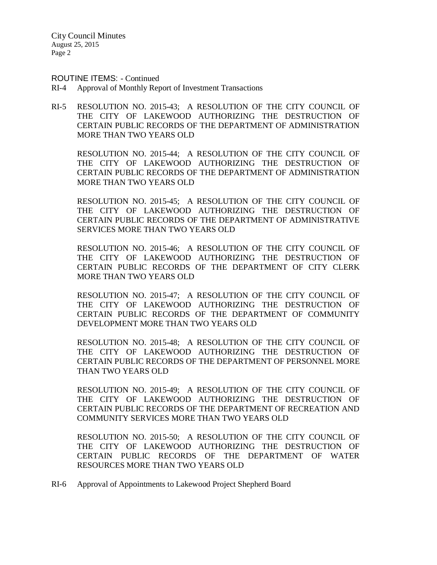#### ROUTINE ITEMS: - Continued

- RI-4 Approval of Monthly Report of Investment Transactions
- RI-5 RESOLUTION NO. 2015-43; A RESOLUTION OF THE CITY COUNCIL OF THE CITY OF LAKEWOOD AUTHORIZING THE DESTRUCTION OF CERTAIN PUBLIC RECORDS OF THE DEPARTMENT OF ADMINISTRATION MORE THAN TWO YEARS OLD

RESOLUTION NO. 2015-44; A RESOLUTION OF THE CITY COUNCIL OF THE CITY OF LAKEWOOD AUTHORIZING THE DESTRUCTION OF CERTAIN PUBLIC RECORDS OF THE DEPARTMENT OF ADMINISTRATION MORE THAN TWO YEARS OLD

RESOLUTION NO. 2015-45; A RESOLUTION OF THE CITY COUNCIL OF THE CITY OF LAKEWOOD AUTHORIZING THE DESTRUCTION OF CERTAIN PUBLIC RECORDS OF THE DEPARTMENT OF ADMINISTRATIVE SERVICES MORE THAN TWO YEARS OLD

RESOLUTION NO. 2015-46; A RESOLUTION OF THE CITY COUNCIL OF THE CITY OF LAKEWOOD AUTHORIZING THE DESTRUCTION OF CERTAIN PUBLIC RECORDS OF THE DEPARTMENT OF CITY CLERK MORE THAN TWO YEARS OLD

RESOLUTION NO. 2015-47; A RESOLUTION OF THE CITY COUNCIL OF THE CITY OF LAKEWOOD AUTHORIZING THE DESTRUCTION OF CERTAIN PUBLIC RECORDS OF THE DEPARTMENT OF COMMUNITY DEVELOPMENT MORE THAN TWO YEARS OLD

RESOLUTION NO. 2015-48; A RESOLUTION OF THE CITY COUNCIL OF THE CITY OF LAKEWOOD AUTHORIZING THE DESTRUCTION OF CERTAIN PUBLIC RECORDS OF THE DEPARTMENT OF PERSONNEL MORE THAN TWO YEARS OLD

RESOLUTION NO. 2015-49; A RESOLUTION OF THE CITY COUNCIL OF THE CITY OF LAKEWOOD AUTHORIZING THE DESTRUCTION OF CERTAIN PUBLIC RECORDS OF THE DEPARTMENT OF RECREATION AND COMMUNITY SERVICES MORE THAN TWO YEARS OLD

RESOLUTION NO. 2015-50; A RESOLUTION OF THE CITY COUNCIL OF THE CITY OF LAKEWOOD AUTHORIZING THE DESTRUCTION OF CERTAIN PUBLIC RECORDS OF THE DEPARTMENT OF WATER RESOURCES MORE THAN TWO YEARS OLD

RI-6 Approval of Appointments to Lakewood Project Shepherd Board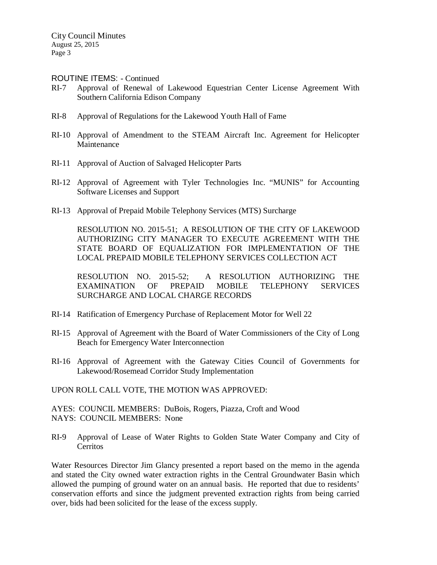#### ROUTINE ITEMS: - Continued

- RI-7 Approval of Renewal of Lakewood Equestrian Center License Agreement With Southern California Edison Company
- RI-8 Approval of Regulations for the Lakewood Youth Hall of Fame
- RI-10 Approval of Amendment to the STEAM Aircraft Inc. Agreement for Helicopter Maintenance
- RI-11 Approval of Auction of Salvaged Helicopter Parts
- RI-12 Approval of Agreement with Tyler Technologies Inc. "MUNIS" for Accounting Software Licenses and Support
- RI-13 Approval of Prepaid Mobile Telephony Services (MTS) Surcharge

RESOLUTION NO. 2015-51; A RESOLUTION OF THE CITY OF LAKEWOOD AUTHORIZING CITY MANAGER TO EXECUTE AGREEMENT WITH THE STATE BOARD OF EQUALIZATION FOR IMPLEMENTATION OF THE LOCAL PREPAID MOBILE TELEPHONY SERVICES COLLECTION ACT

RESOLUTION NO. 2015-52; A RESOLUTION AUTHORIZING THE EXAMINATION OF PREPAID MOBILE TELEPHONY SERVICES SURCHARGE AND LOCAL CHARGE RECORDS

- RI-14 Ratification of Emergency Purchase of Replacement Motor for Well 22
- RI-15 Approval of Agreement with the Board of Water Commissioners of the City of Long Beach for Emergency Water Interconnection
- RI-16 Approval of Agreement with the Gateway Cities Council of Governments for Lakewood/Rosemead Corridor Study Implementation

UPON ROLL CALL VOTE, THE MOTION WAS APPROVED:

AYES: COUNCIL MEMBERS: DuBois, Rogers, Piazza, Croft and Wood NAYS: COUNCIL MEMBERS: None

RI-9 Approval of Lease of Water Rights to Golden State Water Company and City of Cerritos

Water Resources Director Jim Glancy presented a report based on the memo in the agenda and stated the City owned water extraction rights in the Central Groundwater Basin which allowed the pumping of ground water on an annual basis. He reported that due to residents' conservation efforts and since the judgment prevented extraction rights from being carried over, bids had been solicited for the lease of the excess supply.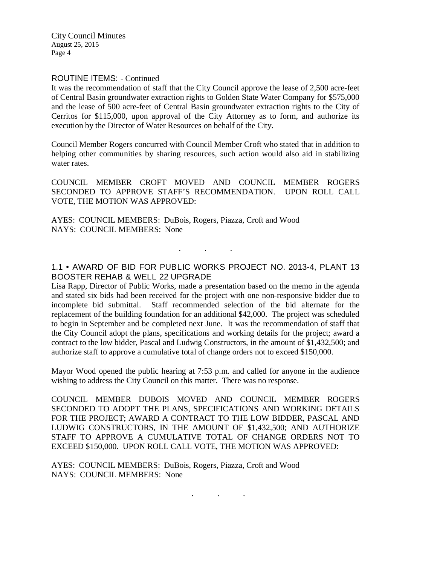#### ROUTINE ITEMS: - Continued

It was the recommendation of staff that the City Council approve the lease of 2,500 acre-feet of Central Basin groundwater extraction rights to Golden State Water Company for \$575,000 and the lease of 500 acre-feet of Central Basin groundwater extraction rights to the City of Cerritos for \$115,000, upon approval of the City Attorney as to form, and authorize its execution by the Director of Water Resources on behalf of the City.

Council Member Rogers concurred with Council Member Croft who stated that in addition to helping other communities by sharing resources, such action would also aid in stabilizing water rates.

COUNCIL MEMBER CROFT MOVED AND COUNCIL MEMBER ROGERS SECONDED TO APPROVE STAFF'S RECOMMENDATION. UPON ROLL CALL VOTE, THE MOTION WAS APPROVED:

AYES: COUNCIL MEMBERS: DuBois, Rogers, Piazza, Croft and Wood NAYS: COUNCIL MEMBERS: None

# 1.1 • AWARD OF BID FOR PUBLIC WORKS PROJECT NO. 2013-4, PLANT 13 BOOSTER REHAB & WELL 22 UPGRADE

. . .

Lisa Rapp, Director of Public Works, made a presentation based on the memo in the agenda and stated six bids had been received for the project with one non-responsive bidder due to incomplete bid submittal. Staff recommended selection of the bid alternate for the replacement of the building foundation for an additional \$42,000. The project was scheduled to begin in September and be completed next June. It was the recommendation of staff that the City Council adopt the plans, specifications and working details for the project; award a contract to the low bidder, Pascal and Ludwig Constructors, in the amount of \$1,432,500; and authorize staff to approve a cumulative total of change orders not to exceed \$150,000.

Mayor Wood opened the public hearing at 7:53 p.m. and called for anyone in the audience wishing to address the City Council on this matter. There was no response.

COUNCIL MEMBER DUBOIS MOVED AND COUNCIL MEMBER ROGERS SECONDED TO ADOPT THE PLANS, SPECIFICATIONS AND WORKING DETAILS FOR THE PROJECT; AWARD A CONTRACT TO THE LOW BIDDER, PASCAL AND LUDWIG CONSTRUCTORS, IN THE AMOUNT OF \$1,432,500; AND AUTHORIZE STAFF TO APPROVE A CUMULATIVE TOTAL OF CHANGE ORDERS NOT TO EXCEED \$150,000. UPON ROLL CALL VOTE, THE MOTION WAS APPROVED:

. . .

AYES: COUNCIL MEMBERS: DuBois, Rogers, Piazza, Croft and Wood NAYS: COUNCIL MEMBERS: None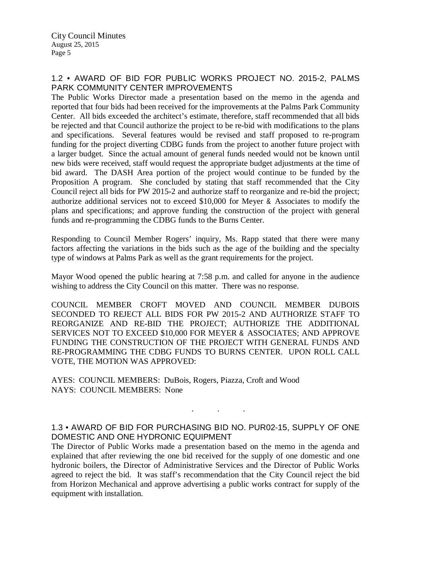# 1.2 • AWARD OF BID FOR PUBLIC WORKS PROJECT NO. 2015-2, PALMS PARK COMMUNITY CENTER IMPROVEMENTS

The Public Works Director made a presentation based on the memo in the agenda and reported that four bids had been received for the improvements at the Palms Park Community Center. All bids exceeded the architect's estimate, therefore, staff recommended that all bids be rejected and that Council authorize the project to be re-bid with modifications to the plans and specifications. Several features would be revised and staff proposed to re-program funding for the project diverting CDBG funds from the project to another future project with a larger budget. Since the actual amount of general funds needed would not be known until new bids were received, staff would request the appropriate budget adjustments at the time of bid award. The DASH Area portion of the project would continue to be funded by the Proposition A program. She concluded by stating that staff recommended that the City Council reject all bids for PW 2015-2 and authorize staff to reorganize and re-bid the project; authorize additional services not to exceed \$10,000 for Meyer & Associates to modify the plans and specifications; and approve funding the construction of the project with general funds and re-programming the CDBG funds to the Burns Center.

Responding to Council Member Rogers' inquiry, Ms. Rapp stated that there were many factors affecting the variations in the bids such as the age of the building and the specialty type of windows at Palms Park as well as the grant requirements for the project.

Mayor Wood opened the public hearing at 7:58 p.m. and called for anyone in the audience wishing to address the City Council on this matter. There was no response.

COUNCIL MEMBER CROFT MOVED AND COUNCIL MEMBER DUBOIS SECONDED TO REJECT ALL BIDS FOR PW 2015-2 AND AUTHORIZE STAFF TO REORGANIZE AND RE-BID THE PROJECT; AUTHORIZE THE ADDITIONAL SERVICES NOT TO EXCEED \$10,000 FOR MEYER & ASSOCIATES; AND APPROVE FUNDING THE CONSTRUCTION OF THE PROJECT WITH GENERAL FUNDS AND RE-PROGRAMMING THE CDBG FUNDS TO BURNS CENTER. UPON ROLL CALL VOTE, THE MOTION WAS APPROVED:

AYES: COUNCIL MEMBERS: DuBois, Rogers, Piazza, Croft and Wood NAYS: COUNCIL MEMBERS: None

# 1.3 • AWARD OF BID FOR PURCHASING BID NO. PUR02-15, SUPPLY OF ONE DOMESTIC AND ONE HYDRONIC EQUIPMENT

. . .

The Director of Public Works made a presentation based on the memo in the agenda and explained that after reviewing the one bid received for the supply of one domestic and one hydronic boilers, the Director of Administrative Services and the Director of Public Works agreed to reject the bid. It was staff's recommendation that the City Council reject the bid from Horizon Mechanical and approve advertising a public works contract for supply of the equipment with installation.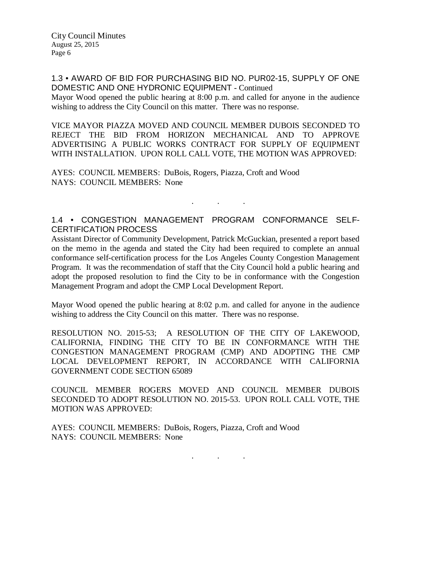1.3 • AWARD OF BID FOR PURCHASING BID NO. PUR02-15, SUPPLY OF ONE DOMESTIC AND ONE HYDRONIC EQUIPMENT - Continued

Mayor Wood opened the public hearing at 8:00 p.m. and called for anyone in the audience wishing to address the City Council on this matter. There was no response.

VICE MAYOR PIAZZA MOVED AND COUNCIL MEMBER DUBOIS SECONDED TO REJECT THE BID FROM HORIZON MECHANICAL AND TO APPROVE ADVERTISING A PUBLIC WORKS CONTRACT FOR SUPPLY OF EQUIPMENT WITH INSTALLATION. UPON ROLL CALL VOTE, THE MOTION WAS APPROVED:

AYES: COUNCIL MEMBERS: DuBois, Rogers, Piazza, Croft and Wood NAYS: COUNCIL MEMBERS: None

#### 1.4 • CONGESTION MANAGEMENT PROGRAM CONFORMANCE SELF-CERTIFICATION PROCESS

. . .

Assistant Director of Community Development, Patrick McGuckian, presented a report based on the memo in the agenda and stated the City had been required to complete an annual conformance self-certification process for the Los Angeles County Congestion Management Program. It was the recommendation of staff that the City Council hold a public hearing and adopt the proposed resolution to find the City to be in conformance with the Congestion Management Program and adopt the CMP Local Development Report.

Mayor Wood opened the public hearing at 8:02 p.m. and called for anyone in the audience wishing to address the City Council on this matter. There was no response.

RESOLUTION NO. 2015-53; A RESOLUTION OF THE CITY OF LAKEWOOD, CALIFORNIA, FINDING THE CITY TO BE IN CONFORMANCE WITH THE CONGESTION MANAGEMENT PROGRAM (CMP) AND ADOPTING THE CMP LOCAL DEVELOPMENT REPORT, IN ACCORDANCE WITH CALIFORNIA GOVERNMENT CODE SECTION 65089

COUNCIL MEMBER ROGERS MOVED AND COUNCIL MEMBER DUBOIS SECONDED TO ADOPT RESOLUTION NO. 2015-53. UPON ROLL CALL VOTE, THE MOTION WAS APPROVED:

AYES: COUNCIL MEMBERS: DuBois, Rogers, Piazza, Croft and Wood NAYS: COUNCIL MEMBERS: None

. . .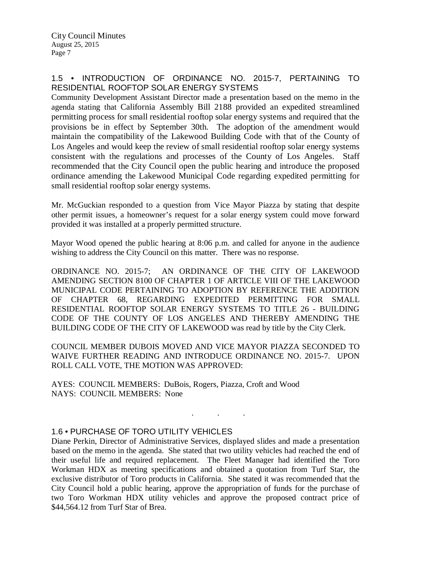# 1.5 • INTRODUCTION OF ORDINANCE NO. 2015-7, PERTAINING TO RESIDENTIAL ROOFTOP SOLAR ENERGY SYSTEMS

Community Development Assistant Director made a presentation based on the memo in the agenda stating that California Assembly Bill 2188 provided an expedited streamlined permitting process for small residential rooftop solar energy systems and required that the provisions be in effect by September 30th. The adoption of the amendment would maintain the compatibility of the Lakewood Building Code with that of the County of Los Angeles and would keep the review of small residential rooftop solar energy systems consistent with the regulations and processes of the County of Los Angeles. Staff recommended that the City Council open the public hearing and introduce the proposed ordinance amending the Lakewood Municipal Code regarding expedited permitting for small residential rooftop solar energy systems.

Mr. McGuckian responded to a question from Vice Mayor Piazza by stating that despite other permit issues, a homeowner's request for a solar energy system could move forward provided it was installed at a properly permitted structure.

Mayor Wood opened the public hearing at 8:06 p.m. and called for anyone in the audience wishing to address the City Council on this matter. There was no response.

ORDINANCE NO. 2015-7; AN ORDINANCE OF THE CITY OF LAKEWOOD AMENDING SECTION 8100 OF CHAPTER 1 OF ARTICLE VIII OF THE LAKEWOOD MUNICIPAL CODE PERTAINING TO ADOPTION BY REFERENCE THE ADDITION OF CHAPTER 68, REGARDING EXPEDITED PERMITTING FOR SMALL RESIDENTIAL ROOFTOP SOLAR ENERGY SYSTEMS TO TITLE 26 - BUILDING CODE OF THE COUNTY OF LOS ANGELES AND THEREBY AMENDING THE BUILDING CODE OF THE CITY OF LAKEWOOD was read by title by the City Clerk.

COUNCIL MEMBER DUBOIS MOVED AND VICE MAYOR PIAZZA SECONDED TO WAIVE FURTHER READING AND INTRODUCE ORDINANCE NO. 2015-7. UPON ROLL CALL VOTE, THE MOTION WAS APPROVED:

. . .

AYES: COUNCIL MEMBERS: DuBois, Rogers, Piazza, Croft and Wood NAYS: COUNCIL MEMBERS: None

# 1.6 • PURCHASE OF TORO UTILITY VEHICLES

Diane Perkin, Director of Administrative Services, displayed slides and made a presentation based on the memo in the agenda. She stated that two utility vehicles had reached the end of their useful life and required replacement. The Fleet Manager had identified the Toro Workman HDX as meeting specifications and obtained a quotation from Turf Star, the exclusive distributor of Toro products in California. She stated it was recommended that the City Council hold a public hearing, approve the appropriation of funds for the purchase of two Toro Workman HDX utility vehicles and approve the proposed contract price of \$44,564.12 from Turf Star of Brea.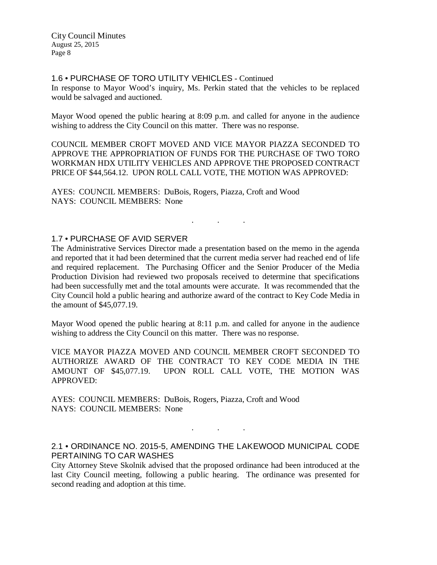1.6 • PURCHASE OF TORO UTILITY VEHICLES - Continued

In response to Mayor Wood's inquiry, Ms. Perkin stated that the vehicles to be replaced would be salvaged and auctioned.

Mayor Wood opened the public hearing at 8:09 p.m. and called for anyone in the audience wishing to address the City Council on this matter. There was no response.

COUNCIL MEMBER CROFT MOVED AND VICE MAYOR PIAZZA SECONDED TO APPROVE THE APPROPRIATION OF FUNDS FOR THE PURCHASE OF TWO TORO WORKMAN HDX UTILITY VEHICLES AND APPROVE THE PROPOSED CONTRACT PRICE OF \$44,564.12. UPON ROLL CALL VOTE, THE MOTION WAS APPROVED:

AYES: COUNCIL MEMBERS: DuBois, Rogers, Piazza, Croft and Wood NAYS: COUNCIL MEMBERS: None

#### 1.7 • PURCHASE OF AVID SERVER

The Administrative Services Director made a presentation based on the memo in the agenda and reported that it had been determined that the current media server had reached end of life and required replacement. The Purchasing Officer and the Senior Producer of the Media Production Division had reviewed two proposals received to determine that specifications had been successfully met and the total amounts were accurate. It was recommended that the City Council hold a public hearing and authorize award of the contract to Key Code Media in the amount of \$45,077.19.

. . .

Mayor Wood opened the public hearing at 8:11 p.m. and called for anyone in the audience wishing to address the City Council on this matter. There was no response.

VICE MAYOR PIAZZA MOVED AND COUNCIL MEMBER CROFT SECONDED TO AUTHORIZE AWARD OF THE CONTRACT TO KEY CODE MEDIA IN THE AMOUNT OF \$45,077.19. UPON ROLL CALL VOTE, THE MOTION WAS APPROVED:

AYES: COUNCIL MEMBERS: DuBois, Rogers, Piazza, Croft and Wood NAYS: COUNCIL MEMBERS: None

# 2.1 • ORDINANCE NO. 2015-5, AMENDING THE LAKEWOOD MUNICIPAL CODE PERTAINING TO CAR WASHES

. . .

City Attorney Steve Skolnik advised that the proposed ordinance had been introduced at the last City Council meeting, following a public hearing. The ordinance was presented for second reading and adoption at this time.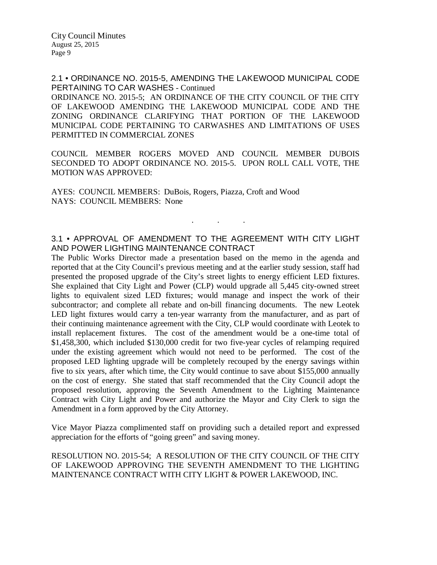2.1 • ORDINANCE NO. 2015-5, AMENDING THE LAKEWOOD MUNICIPAL CODE PERTAINING TO CAR WASHES - Continued

ORDINANCE NO. 2015-5; AN ORDINANCE OF THE CITY COUNCIL OF THE CITY OF LAKEWOOD AMENDING THE LAKEWOOD MUNICIPAL CODE AND THE ZONING ORDINANCE CLARIFYING THAT PORTION OF THE LAKEWOOD MUNICIPAL CODE PERTAINING TO CARWASHES AND LIMITATIONS OF USES PERMITTED IN COMMERCIAL ZONES

COUNCIL MEMBER ROGERS MOVED AND COUNCIL MEMBER DUBOIS SECONDED TO ADOPT ORDINANCE NO. 2015-5. UPON ROLL CALL VOTE, THE MOTION WAS APPROVED:

AYES: COUNCIL MEMBERS: DuBois, Rogers, Piazza, Croft and Wood NAYS: COUNCIL MEMBERS: None

# 3.1 • APPROVAL OF AMENDMENT TO THE AGREEMENT WITH CITY LIGHT AND POWER LIGHTING MAINTENANCE CONTRACT

. . .

The Public Works Director made a presentation based on the memo in the agenda and reported that at the City Council's previous meeting and at the earlier study session, staff had presented the proposed upgrade of the City's street lights to energy efficient LED fixtures. She explained that City Light and Power (CLP) would upgrade all 5,445 city-owned street lights to equivalent sized LED fixtures; would manage and inspect the work of their subcontractor; and complete all rebate and on-bill financing documents. The new Leotek LED light fixtures would carry a ten-year warranty from the manufacturer, and as part of their continuing maintenance agreement with the City, CLP would coordinate with Leotek to install replacement fixtures. The cost of the amendment would be a one-time total of \$1,458,300, which included \$130,000 credit for two five-year cycles of relamping required under the existing agreement which would not need to be performed. The cost of the proposed LED lighting upgrade will be completely recouped by the energy savings within five to six years, after which time, the City would continue to save about \$155,000 annually on the cost of energy. She stated that staff recommended that the City Council adopt the proposed resolution, approving the Seventh Amendment to the Lighting Maintenance Contract with City Light and Power and authorize the Mayor and City Clerk to sign the Amendment in a form approved by the City Attorney.

Vice Mayor Piazza complimented staff on providing such a detailed report and expressed appreciation for the efforts of "going green" and saving money.

RESOLUTION NO. 2015-54; A RESOLUTION OF THE CITY COUNCIL OF THE CITY OF LAKEWOOD APPROVING THE SEVENTH AMENDMENT TO THE LIGHTING MAINTENANCE CONTRACT WITH CITY LIGHT & POWER LAKEWOOD, INC.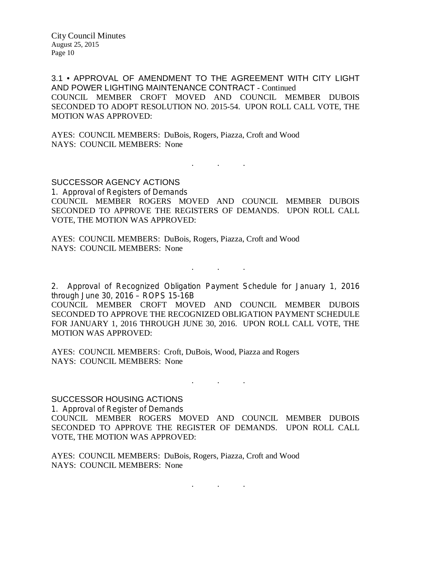3.1 • APPROVAL OF AMENDMENT TO THE AGREEMENT WITH CITY LIGHT AND POWER LIGHTING MAINTENANCE CONTRACT - Continued COUNCIL MEMBER CROFT MOVED AND COUNCIL MEMBER DUBOIS SECONDED TO ADOPT RESOLUTION NO. 2015-54. UPON ROLL CALL VOTE, THE MOTION WAS APPROVED:

AYES: COUNCIL MEMBERS: DuBois, Rogers, Piazza, Croft and Wood NAYS: COUNCIL MEMBERS: None

SUCCESSOR AGENCY ACTIONS 1. Approval of Registers of Demands COUNCIL MEMBER ROGERS MOVED AND COUNCIL MEMBER DUBOIS SECONDED TO APPROVE THE REGISTERS OF DEMANDS. UPON ROLL CALL VOTE, THE MOTION WAS APPROVED:

. . .

AYES: COUNCIL MEMBERS: DuBois, Rogers, Piazza, Croft and Wood NAYS: COUNCIL MEMBERS: None

2. Approval of Recognized Obligation Payment Schedule for January 1, 2016 through June 30, 2016 – ROPS 15-16B

. . .

COUNCIL MEMBER CROFT MOVED AND COUNCIL MEMBER DUBOIS SECONDED TO APPROVE THE RECOGNIZED OBLIGATION PAYMENT SCHEDULE FOR JANUARY 1, 2016 THROUGH JUNE 30, 2016. UPON ROLL CALL VOTE, THE MOTION WAS APPROVED:

AYES: COUNCIL MEMBERS: Croft, DuBois, Wood, Piazza and Rogers NAYS: COUNCIL MEMBERS: None

. . .

#### SUCCESSOR HOUSING ACTIONS

1. Approval of Register of Demands COUNCIL MEMBER ROGERS MOVED AND COUNCIL MEMBER DUBOIS SECONDED TO APPROVE THE REGISTER OF DEMANDS. UPON ROLL CALL VOTE, THE MOTION WAS APPROVED:

AYES: COUNCIL MEMBERS: DuBois, Rogers, Piazza, Croft and Wood NAYS: COUNCIL MEMBERS: None

 $\mathbf{r}$  .  $\mathbf{r}$  ,  $\mathbf{r}$  ,  $\mathbf{r}$  ,  $\mathbf{r}$  ,  $\mathbf{r}$  ,  $\mathbf{r}$